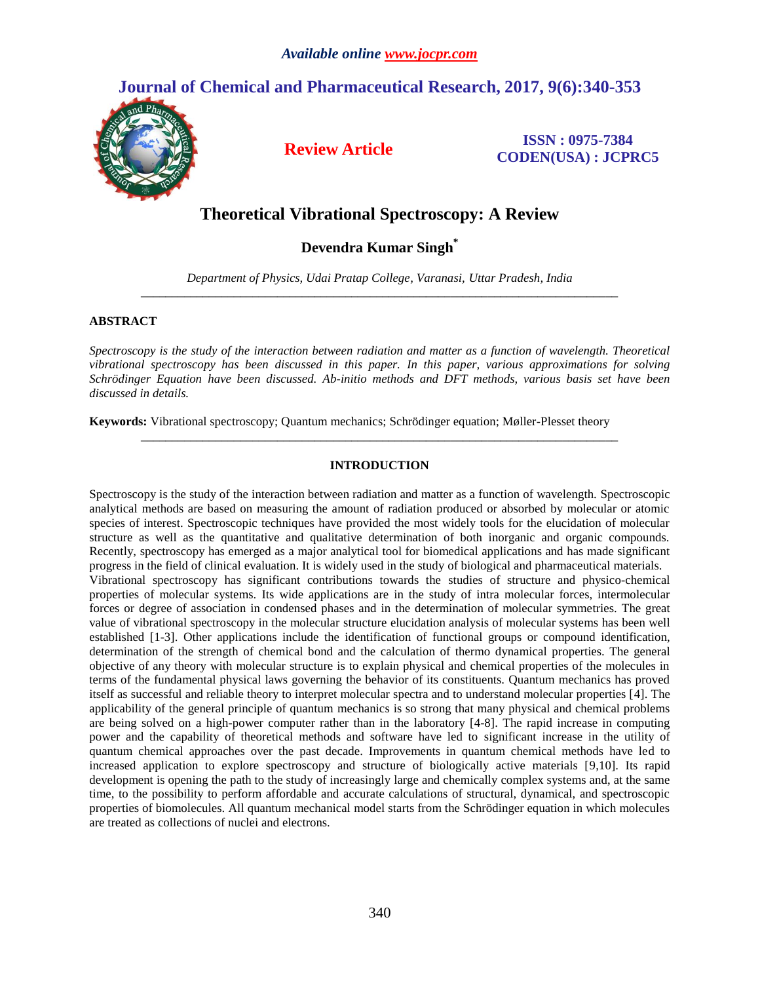# **Journal of Chemical and Pharmaceutical Research, 2017, 9(6):340-353**



**Review Article ISSN : 0975-7384 CODEN(USA) : JCPRC5**

# **Theoretical Vibrational Spectroscopy: A Review**

**Devendra Kumar Singh\***

*Department of Physics, Udai Pratap College, Varanasi, Uttar Pradesh, India \_\_\_\_\_\_\_\_\_\_\_\_\_\_\_\_\_\_\_\_\_\_\_\_\_\_\_\_\_\_\_\_\_\_\_\_\_\_\_\_\_\_\_\_\_\_\_\_\_\_\_\_\_\_\_\_\_\_\_\_\_\_\_\_\_\_\_\_\_\_\_\_\_\_\_\_\_*

# **ABSTRACT**

*Spectroscopy is the study of the interaction between radiation and matter as a function of wavelength. Theoretical vibrational spectroscopy has been discussed in this paper. In this paper, various approximations for solving Schrödinger Equation have been discussed. Ab-initio methods and DFT methods, various basis set have been discussed in details.*

**Keywords:** Vibrational spectroscopy; Quantum mechanics; Schrödinger equation; Møller-Plesset theory

# **INTRODUCTION**

*\_\_\_\_\_\_\_\_\_\_\_\_\_\_\_\_\_\_\_\_\_\_\_\_\_\_\_\_\_\_\_\_\_\_\_\_\_\_\_\_\_\_\_\_\_\_\_\_\_\_\_\_\_\_\_\_\_\_\_\_\_\_\_\_\_\_\_\_\_\_\_\_\_\_\_\_\_*

Spectroscopy is the study of the interaction between radiation and matter as a function of wavelength. Spectroscopic analytical methods are based on measuring the amount of radiation produced or absorbed by molecular or atomic species of interest. Spectroscopic techniques have provided the most widely tools for the elucidation of molecular structure as well as the quantitative and qualitative determination of both inorganic and organic compounds. Recently, spectroscopy has emerged as a major analytical tool for biomedical applications and has made significant progress in the field of clinical evaluation. It is widely used in the study of biological and pharmaceutical materials. Vibrational spectroscopy has significant contributions towards the studies of structure and physico-chemical properties of molecular systems. Its wide applications are in the study of intra molecular forces, intermolecular forces or degree of association in condensed phases and in the determination of molecular symmetries. The great value of vibrational spectroscopy in the molecular structure elucidation analysis of molecular systems has been well established [1-3]. Other applications include the identification of functional groups or compound identification, determination of the strength of chemical bond and the calculation of thermo dynamical properties. The general objective of any theory with molecular structure is to explain physical and chemical properties of the molecules in terms of the fundamental physical laws governing the behavior of its constituents. Quantum mechanics has proved itself as successful and reliable theory to interpret molecular spectra and to understand molecular properties [4]. The applicability of the general principle of quantum mechanics is so strong that many physical and chemical problems are being solved on a high-power computer rather than in the laboratory [4-8]. The rapid increase in computing power and the capability of theoretical methods and software have led to significant increase in the utility of quantum chemical approaches over the past decade. Improvements in quantum chemical methods have led to increased application to explore spectroscopy and structure of biologically active materials [9,10]. Its rapid development is opening the path to the study of increasingly large and chemically complex systems and, at the same time, to the possibility to perform affordable and accurate calculations of structural, dynamical, and spectroscopic properties of biomolecules. All quantum mechanical model starts from the Schrödinger equation in which molecules are treated as collections of nuclei and electrons.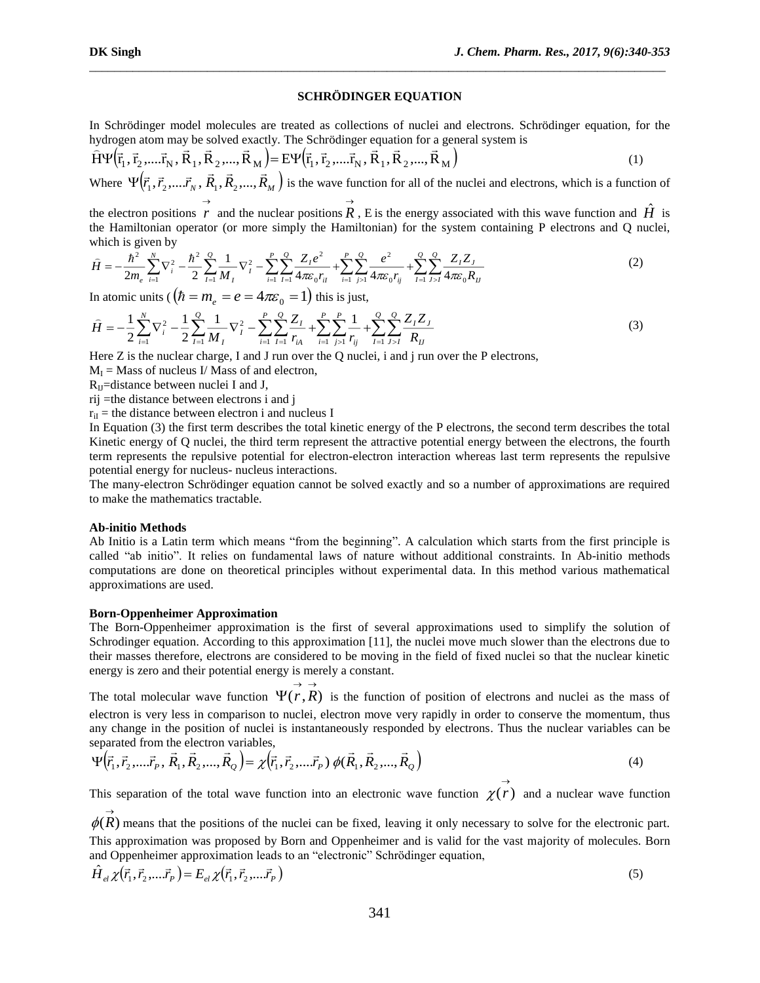# **SCHRÖDINGER EQUATION**

\_\_\_\_\_\_\_\_\_\_\_\_\_\_\_\_\_\_\_\_\_\_\_\_\_\_\_\_\_\_\_\_\_\_\_\_\_\_\_\_\_\_\_\_\_\_\_\_\_\_\_\_\_\_\_\_\_\_\_\_\_\_\_\_\_\_\_\_\_\_\_\_\_\_\_\_\_\_\_\_\_\_\_\_\_\_\_\_\_\_\_\_\_

In Schrödinger model molecules are treated as collections of nuclei and electrons. Schrödinger equation, for the hydrogen atom may be solved exactly. The Schrödinger equation for a general system is

$$
\hat{H}\Psi(\vec{r}_1, \vec{r}_2, \dots, \vec{r}_N, \vec{R}_1, \vec{R}_2, \dots, \vec{R}_M) = E\Psi(\vec{r}_1, \vec{r}_2, \dots, \vec{r}_N, \vec{R}_1, \vec{R}_2, \dots, \vec{R}_M)
$$
\n(1)

Where  $\Psi(\vec{r}_1, \vec{r}_2, ..., \vec{r}_N, \vec{R}_1, \vec{R}_2, ..., \vec{R}_M)$  is the wave function for all of the nuclei and electrons, which is a function of  $\rightarrow$  $\rightarrow$ 

the electron positions r and the nuclear positions R, E is the energy associated with this wave function and  $\hat{H}$  is the Hamiltonian operator (or more simply the Hamiltonian) for the system containing P electrons and Q nuclei, which is given by

$$
\hat{H} = -\frac{\hbar^2}{2m_e} \sum_{i=1}^N \nabla_i^2 - \frac{\hbar^2}{2} \sum_{I=1}^Q \frac{1}{M_I} \nabla_I^2 - \sum_{i=1}^P \sum_{I=1}^Q \frac{Z_I e^2}{4\pi \varepsilon_0 r_{II}} + \sum_{i=1}^P \sum_{j>1}^Q \frac{e^2}{4\pi \varepsilon_0 r_{ij}} + \sum_{I=1}^Q \sum_{J>I}^Q \frac{Z_I Z_J}{4\pi \varepsilon_0 R_{II}} \tag{2}
$$

In atomic units (  $(\hbar = m_e = e = 4\pi\varepsilon_0 = 1)$  this is just,

$$
\hat{H} = -\frac{1}{2} \sum_{i=1}^{N} \nabla_i^2 - \frac{1}{2} \sum_{I=1}^{Q} \frac{1}{M_I} \nabla_I^2 - \sum_{i=1}^{P} \sum_{I=1}^{Q} \frac{Z_I}{r_{iA}} + \sum_{i=1}^{P} \sum_{j>1}^{P} \frac{1}{r_{ij}} + \sum_{I=1}^{Q} \sum_{J>I}^{Q} \frac{Z_I Z_J}{R_U}
$$
(3)

Here Z is the nuclear charge, I and J run over the Q nuclei, i and j run over the P electrons,

 $M<sub>I</sub>$  = Mass of nucleus I/ Mass of and electron,

 $R<sub>U</sub>$ =distance between nuclei I and J,

rij =the distance between electrons i and j

 $r_{ii}$  = the distance between electron i and nucleus I

In Equation (3) the first term describes the total kinetic energy of the P electrons, the second term describes the total Kinetic energy of Q nuclei, the third term represent the attractive potential energy between the electrons, the fourth term represents the repulsive potential for electron-electron interaction whereas last term represents the repulsive potential energy for nucleus- nucleus interactions.

The many-electron Schrödinger equation cannot be solved exactly and so a number of approximations are required to make the mathematics tractable.

#### **Ab-initio Methods**

 $\rightarrow$ 

Ab Initio is a Latin term which means "from the beginning". A calculation which starts from the first principle is called "ab initio". It relies on fundamental laws of nature without additional constraints. In Ab-initio methods computations are done on theoretical principles without experimental data. In this method various mathematical approximations are used.

## **Born-Oppenheimer Approximation**

The Born-Oppenheimer approximation is the first of several approximations used to simplify the solution of Schrodinger equation. According to this approximation [11], the nuclei move much slower than the electrons due to their masses therefore, electrons are considered to be moving in the field of fixed nuclei so that the nuclear kinetic energy is zero and their potential energy is merely a constant.

The total molecular wave function  $\Psi(r, R)$  is the function of position of electrons and nuclei as the mass of  $\rightarrow$   $\rightarrow$ electron is very less in comparison to nuclei, electron move very rapidly in order to conserve the momentum, thus any change in the position of nuclei is instantaneously responded by electrons. Thus the nuclear variables can be separated from the electron variables,

$$
\Psi(\vec{r}_1, \vec{r}_2, \dots, \vec{r}_P, \vec{R}_1, \vec{R}_2, \dots, \vec{R}_Q) = \chi(\vec{r}_1, \vec{r}_2, \dots, \vec{r}_P) \phi(\vec{R}_1, \vec{R}_2, \dots, \vec{R}_Q)
$$
(4)

This separation of the total wave function into an electronic wave function  $\chi(r)$  $\chi(r)$  and a nuclear wave function

 $\phi(R)$  means that the positions of the nuclei can be fixed, leaving it only necessary to solve for the electronic part. This approximation was proposed by Born and Oppenheimer and is valid for the vast majority of molecules. Born and Oppenheimer approximation leads to an "electronic" Schrödinger equation,

$$
\hat{H}_{el}\chi(\vec{r}_1,\vec{r}_2,...\vec{r}_P) = E_{el}\chi(\vec{r}_1,\vec{r}_2,...\vec{r}_P)
$$
\n(5)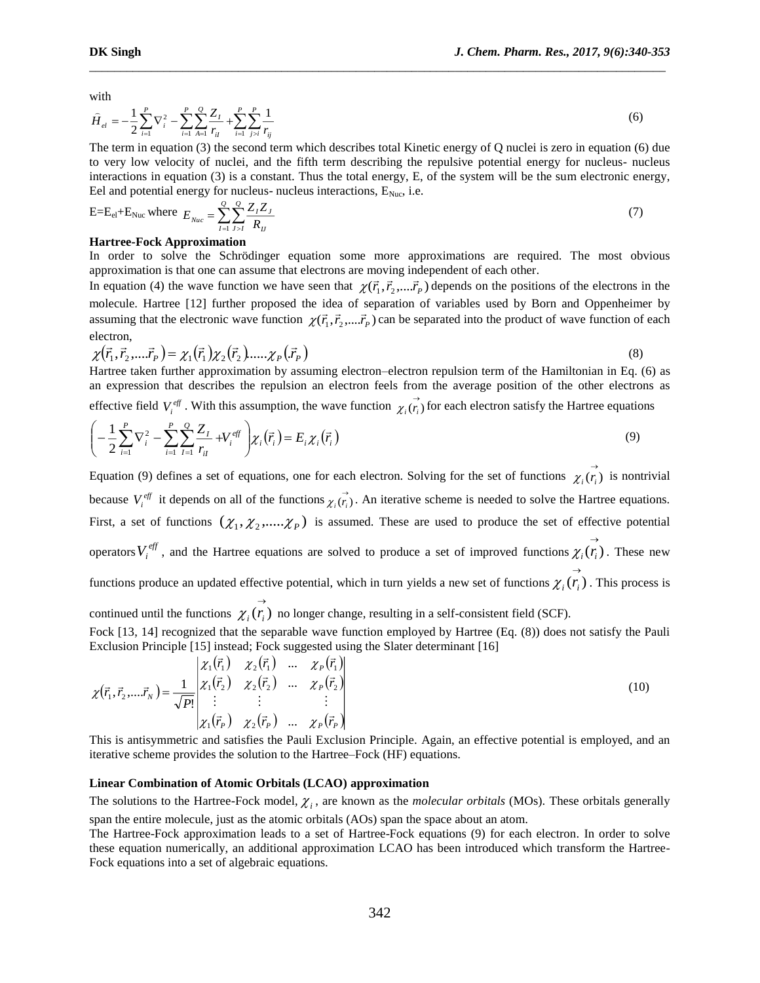with

$$
\hat{H}_{el} = -\frac{1}{2} \sum_{i=1}^{P} \nabla_i^2 - \sum_{i=1}^{P} \sum_{A=1}^{Q} \frac{Z_I}{r_{il}} + \sum_{i=1}^{P} \sum_{j>i}^{P} \frac{1}{r_{ij}}
$$
\n(6)

\_\_\_\_\_\_\_\_\_\_\_\_\_\_\_\_\_\_\_\_\_\_\_\_\_\_\_\_\_\_\_\_\_\_\_\_\_\_\_\_\_\_\_\_\_\_\_\_\_\_\_\_\_\_\_\_\_\_\_\_\_\_\_\_\_\_\_\_\_\_\_\_\_\_\_\_\_\_\_\_\_\_\_\_\_\_\_\_\_\_\_\_\_

The term in equation (3) the second term which describes total Kinetic energy of Q nuclei is zero in equation (6) due to very low velocity of nuclei, and the fifth term describing the repulsive potential energy for nucleus- nucleus interactions in equation (3) is a constant. Thus the total energy, E, of the system will be the sum electronic energy, Eel and potential energy for nucleus- nucleus interactions,  $E_{Nuc}$ , i.e.

$$
E = E_{el} + E_{Nuc} \text{ where } E_{Nuc} = \sum_{I=1}^{Q} \sum_{J>I} \frac{Z_{I} Z_{J}}{R_{IJ}} \tag{7}
$$

#### **Hartree-Fock Approximation**

In order to solve the Schrödinger equation some more approximations are required. The most obvious approximation is that one can assume that electrons are moving independent of each other.

In equation (4) the wave function we have seen that  $\chi(\vec{r}_1, \vec{r}_2,...\vec{r}_p)$  depends on the positions of the electrons in the molecule. Hartree [12] further proposed the idea of separation of variables used by Born and Oppenheimer by assuming that the electronic wave function  $\chi(\vec{r}_1,\vec{r}_2,...\vec{r}_p)$  can be separated into the product of wave function of each electron,

$$
\chi(\vec{r}_1, \vec{r}_2, \dots, \vec{r}_P) = \chi_1(\vec{r}_1) \chi_2(\vec{r}_2) \dots \chi_P(\vec{r}_P)
$$
\n(8)

Hartree taken further approximation by assuming electron–electron repulsion term of the Hamiltonian in Eq. (6) as an expression that describes the repulsion an electron feels from the average position of the other electrons as

effective field  $V_i^{\text{eff}}$ . With this assumption, the wave function  $\chi_i(\vec{r}_i)$  for each electron satisfy the Hartree equations

$$
\left(-\frac{1}{2}\sum_{i=1}^{P} \nabla_{i}^{2} - \sum_{i=1}^{P} \sum_{I=1}^{Q} \frac{Z_{I}}{r_{iI}} + V_{i}^{eff}\right) \chi_{i}(\vec{r}_{i}) = E_{i}\chi_{i}(\vec{r}_{i})
$$
\n(9)

Equation (9) defines a set of equations, one for each electron. Solving for the set of functions  $\chi_i(\vec{r}_i)$  is nontrivial because  $V_i^{\text{eff}}$  it depends on all of the functions  $\chi_i(\vec{r}_i)$ . An iterative scheme is needed to solve the Hartree equations. First, a set of functions  $(\chi_1, \chi_2, ..., \chi_p)$  is assumed. These are used to produce the set of effective potential operators  $V_i^{\text{eff}}$ , and the Hartree equations are solved to produce a set of improved functions  $\chi_i(\vec{r}_i)$ . These new functions produce an updated effective potential, which in turn yields a new set of functions  $\chi_i(\vec{r}_i)$  $\chi_i(r_i)$ . This process is continued until the functions  $\chi_i(r_i)$  $\chi_i(r_i)$  no longer change, resulting in a self-consistent field (SCF). Fock [13, 14] recognized that the separable wave function employed by Hartree (Eq. (8)) does not satisfy the Pauli Exclusion Principle [15] instead; Fock suggested using the Slater determinant [16]

$$
\chi(\vec{r}_1, \vec{r}_2, \dots, \vec{r}_N) = \frac{1}{\sqrt{P!}} \begin{vmatrix} \chi_1(\vec{r}_1) & \chi_2(\vec{r}_1) & \dots & \chi_p(\vec{r}_1) \\ \chi_1(\vec{r}_2) & \chi_2(\vec{r}_2) & \dots & \chi_p(\vec{r}_2) \\ \vdots & \vdots & & \vdots \\ \chi_1(\vec{r}_P) & \chi_2(\vec{r}_P) & \dots & \chi_p(\vec{r}_P) \end{vmatrix}
$$
(10)

This is antisymmetric and satisfies the Pauli Exclusion Principle. Again, an effective potential is employed, and an iterative scheme provides the solution to the Hartree–Fock (HF) equations.

# **Linear Combination of Atomic Orbitals (LCAO) approximation**

The solutions to the Hartree-Fock model,  $\chi_i$ , are known as the *molecular orbitals* (MOs). These orbitals generally span the entire molecule, just as the atomic orbitals (AOs) span the space about an atom.

The Hartree-Fock approximation leads to a set of Hartree-Fock equations (9) for each electron. In order to solve these equation numerically, an additional approximation LCAO has been introduced which transform the Hartree-Fock equations into a set of algebraic equations.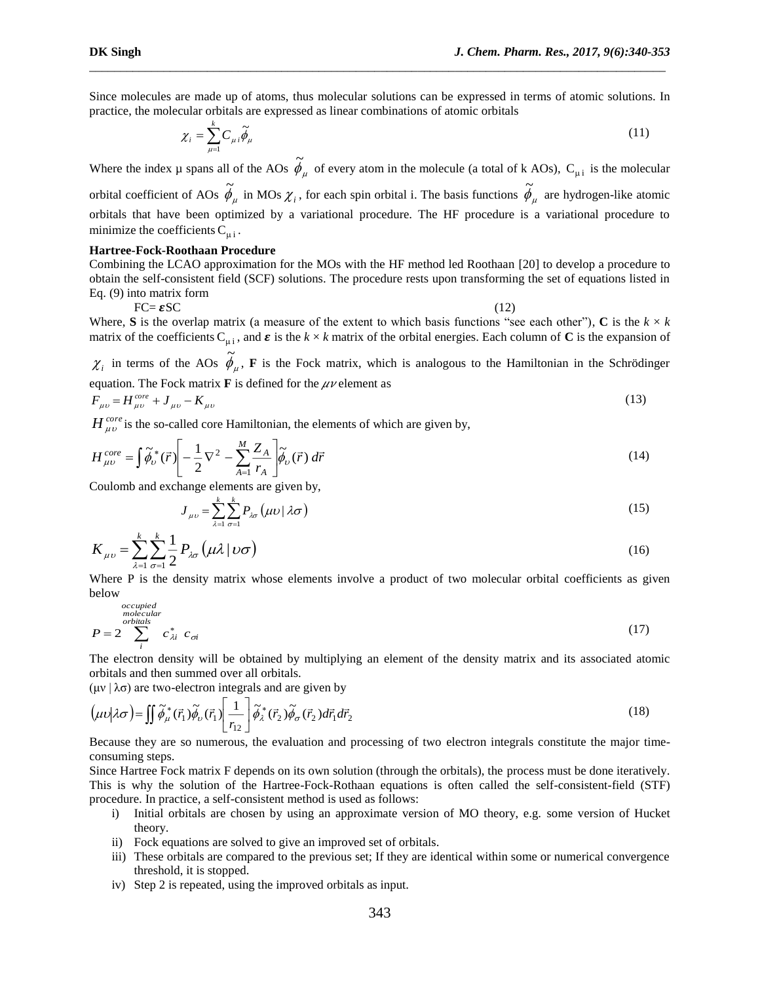Since molecules are made up of atoms, thus molecular solutions can be expressed in terms of atomic solutions. In practice, the molecular orbitals are expressed as linear combinations of atomic orbitals

\_\_\_\_\_\_\_\_\_\_\_\_\_\_\_\_\_\_\_\_\_\_\_\_\_\_\_\_\_\_\_\_\_\_\_\_\_\_\_\_\_\_\_\_\_\_\_\_\_\_\_\_\_\_\_\_\_\_\_\_\_\_\_\_\_\_\_\_\_\_\_\_\_\_\_\_\_\_\_\_\_\_\_\_\_\_\_\_\_\_\_\_\_

$$
\chi_i = \sum_{\mu=1}^k C_{\mu i} \widetilde{\phi}_{\mu} \tag{11}
$$

Where the index  $\mu$  spans all of the AOs  $\phi_{\mu}$  of every atom in the molecule (a total of k AOs), C<sub> $\mu i$ </sub> is the molecular orbital coefficient of AOs  $\phi_\mu$  in MOs  $\chi_i$ , for each spin orbital i. The basis functions  $\phi_\mu$  are hydrogen-like atomic orbitals that have been optimized by a variational procedure. The HF procedure is a variational procedure to minimize the coefficients  $C_{\mu i}$ .

#### **Hartree-Fock-Roothaan Procedure**

Combining the LCAO approximation for the MOs with the HF method led Roothaan [20] to develop a procedure to obtain the self-consistent field (SCF) solutions. The procedure rests upon transforming the set of equations listed in Eq. (9) into matrix form

$$
FC = \mathcal{E}SC \tag{12}
$$

Where, **S** is the overlap matrix (a measure of the extent to which basis functions "see each other"), **C** is the  $k \times k$ matrix of the coefficients  $C_{\mu i}$ , and  $\varepsilon$  is the  $k \times k$  matrix of the orbital energies. Each column of **C** is the expansion of

 $\chi_i$  in terms of the AOs  $\phi_{\mu}$ , **F** is the Fock matrix, which is analogous to the Hamiltonian in the Schrödinger equation. The Fock matrix  $\bf{F}$  is defined for the  $\mu\nu$  element as

$$
F_{\mu\nu} = H_{\mu\nu}^{core} + J_{\mu\nu} - K_{\mu\nu}
$$
 (13)

 $H_{\mu\nu}^{core}$  is the so-called core Hamiltonian, the elements of which are given by,

$$
H_{\mu\nu}^{core} = \int \tilde{\phi}_{\nu}^{*}(\vec{r}) \left[ -\frac{1}{2} \nabla^{2} - \sum_{A=1}^{M} \frac{Z_{A}}{r_{A}} \right] \tilde{\phi}_{\nu}(\vec{r}) d\vec{r}
$$
(14)

Coulomb and exchange elements are given by,

$$
J_{\mu\nu} = \sum_{\lambda=1}^{k} \sum_{\sigma=1}^{k} P_{\lambda\sigma} \left( \mu \nu \, | \, \lambda \sigma \right) \tag{15}
$$

$$
K_{\mu\nu} = \sum_{\lambda=1}^{k} \sum_{\sigma=1}^{k} \frac{1}{2} P_{\lambda\sigma} \left( \mu \lambda \left| \nu \sigma \right. \right) \tag{16}
$$

Where P is the density matrix whose elements involve a product of two molecular orbital coefficients as given below

$$
P = 2 \sum_{i}^{occupied} c_{\lambda i}^{*} c_{\sigma i}
$$
 (17)

The electron density will be obtained by multiplying an element of the density matrix and its associated atomic orbitals and then summed over all orbitals.

(μν  $\lambda \sigma$ ) are two-electron integrals and are given by

$$
\left(\mu\nu\middle|\lambda\sigma\right) = \iint \widetilde{\phi}_{\mu}^* (\vec{r}_1) \widetilde{\phi}_{\nu} (\vec{r}_1) \left[\frac{1}{r_{12}}\right] \widetilde{\phi}_{\lambda}^* (\vec{r}_2) \widetilde{\phi}_{\sigma} (\vec{r}_2) d\vec{r}_1 d\vec{r}_2
$$
\n(18)

Because they are so numerous, the evaluation and processing of two electron integrals constitute the major timeconsuming steps.

Since Hartree Fock matrix F depends on its own solution (through the orbitals), the process must be done iteratively. This is why the solution of the Hartree-Fock-Rothaan equations is often called the self-consistent-field (STF) procedure. In practice, a self-consistent method is used as follows:

- i) Initial orbitals are chosen by using an approximate version of MO theory, e.g. some version of Hucket theory.
- ii) Fock equations are solved to give an improved set of orbitals.
- iii) These orbitals are compared to the previous set; If they are identical within some or numerical convergence threshold, it is stopped.
- iv) Step 2 is repeated, using the improved orbitals as input.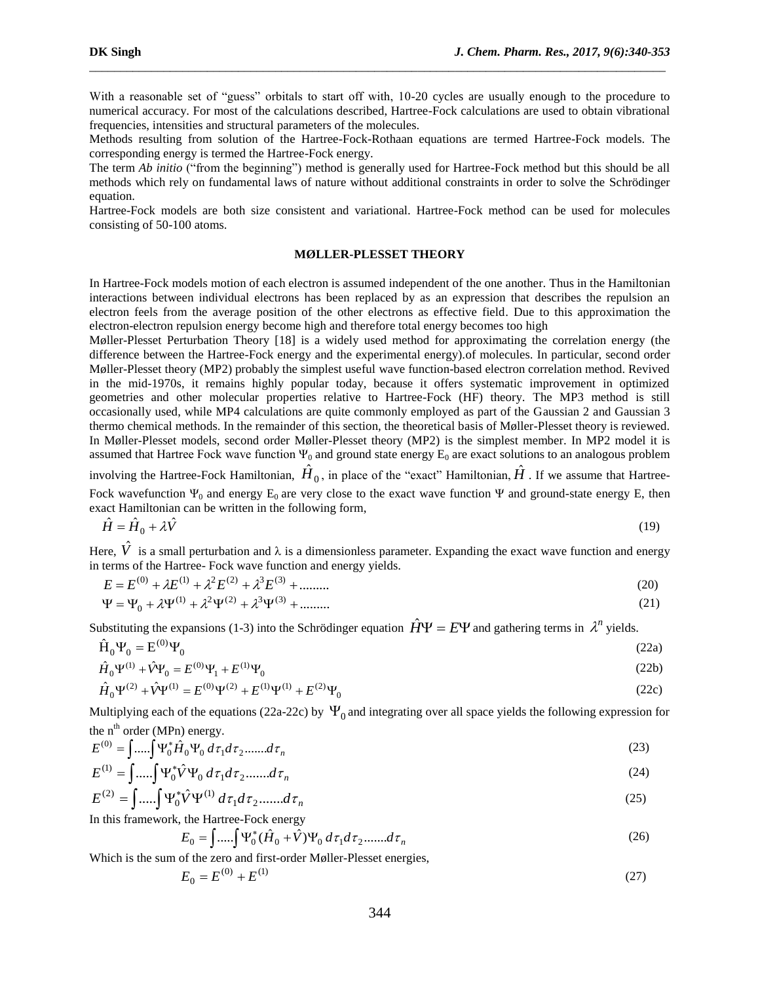With a reasonable set of "guess" orbitals to start off with, 10-20 cycles are usually enough to the procedure to numerical accuracy. For most of the calculations described, Hartree-Fock calculations are used to obtain vibrational frequencies, intensities and structural parameters of the molecules.

\_\_\_\_\_\_\_\_\_\_\_\_\_\_\_\_\_\_\_\_\_\_\_\_\_\_\_\_\_\_\_\_\_\_\_\_\_\_\_\_\_\_\_\_\_\_\_\_\_\_\_\_\_\_\_\_\_\_\_\_\_\_\_\_\_\_\_\_\_\_\_\_\_\_\_\_\_\_\_\_\_\_\_\_\_\_\_\_\_\_\_\_\_

Methods resulting from solution of the Hartree-Fock-Rothaan equations are termed Hartree-Fock models. The corresponding energy is termed the Hartree-Fock energy.

The term *Ab initio* ("from the beginning") method is generally used for Hartree-Fock method but this should be all methods which rely on fundamental laws of nature without additional constraints in order to solve the Schrödinger equation.

Hartree-Fock models are both size consistent and variational. Hartree-Fock method can be used for molecules consisting of 50-100 atoms.

#### **MØLLER-PLESSET THEORY**

In Hartree-Fock models motion of each electron is assumed independent of the one another. Thus in the Hamiltonian interactions between individual electrons has been replaced by as an expression that describes the repulsion an electron feels from the average position of the other electrons as effective field. Due to this approximation the electron-electron repulsion energy become high and therefore total energy becomes too high

Møller-Plesset Perturbation Theory [\[18\]](http://www.q-chem.com/qchem-website/manual/qchem43_manual/sect0096.html#Moller:1934) is a widely used method for approximating the correlation energy (the difference between the Hartree-Fock energy and the experimental energy).of molecules. In particular, second order Møller-Plesset theory (MP2) probably the simplest useful wave function-based electron correlation method. Revived in the mid-1970s, it remains highly popular today, because it offers systematic improvement in optimized geometries and other molecular properties relative to Hartree-Fock (HF) theory. The MP3 method is still occasionally used, while MP4 calculations are quite commonly employed as part of the Gaussian 2 and Gaussian 3 thermo chemical methods. In the remainder of this section, the theoretical basis of Møller-Plesset theory is reviewed. In Møller-Plesset models, second order Møller-Plesset theory (MP2) is the simplest member. In MP2 model it is assumed that Hartree Fock wave function  $\Psi_0$  and ground state energy  $E_0$  are exact solutions to an analogous problem

involving the Hartree-Fock Hamiltonian,  $\hat{H}_0$ , in place of the "exact" Hamiltonian,  $\hat{H}$  . If we assume that Hartree-Fock wavefunction  $\Psi_0$  and energy  $E_0$  are very close to the exact wave function  $\Psi$  and ground-state energy E, then exact Hamiltonian can be written in the following form,

$$
\hat{H} = \hat{H}_0 + \lambda \hat{V} \tag{19}
$$

Here,  $\hat{V}$  is a small perturbation and  $\lambda$  is a dimensionless parameter. Expanding the exact wave function and energy in terms of the Hartree- Fock wave function and energy yields.

$$
E = E^{(0)} + \lambda E^{(1)} + \lambda^2 E^{(2)} + \lambda^3 E^{(3)} + \dots \dots \tag{20}
$$

$$
\Psi = \Psi_0 + \lambda \Psi^{(1)} + \lambda^2 \Psi^{(2)} + \lambda^3 \Psi^{(3)} + \dots \tag{21}
$$

Substituting the expansions (1-3) into the Schrödinger equation  $\hat{H}\Psi = E\Psi$  and gathering terms in  $\lambda^n$  yields.

$$
\hat{\mathbf{H}}_0 \mathbf{\Psi}_0 = \mathbf{E}^{(0)} \mathbf{\Psi}_0 \tag{22a}
$$

$$
\hat{H}_0 \Psi^{(1)} + \hat{V} \Psi_0 = E^{(0)} \Psi_1 + E^{(1)} \Psi_0
$$
\n(22b)

$$
\hat{H}_0 \Psi^{(2)} + \hat{V} \Psi^{(1)} = E^{(0)} \Psi^{(2)} + E^{(1)} \Psi^{(1)} + E^{(2)} \Psi_0
$$
\n(22c)

Multiplying each of the equations (22a-22c) by  $\Psi_0$  and integrating over all space yields the following expression for the  $n^{th}$  order (MPn) energy.

$$
E^{(0)} = \int \dots \int \Psi_0^* \hat{H}_0 \Psi_0 \, d\tau_1 d\tau_2 \dots \dots d\tau_n \tag{23}
$$

$$
E^{(1)} = \int \dots \int \Psi_0^* \hat{V} \Psi_0 \, d\tau_1 d\tau_2 \dots \dots d\tau_n \tag{24}
$$

$$
E^{(2)} = \int \dots \int \Psi_0^* \hat{V} \Psi^{(1)} d\tau_1 d\tau_2 \dots d\tau_n
$$
 (25)

In this framework, the Hartree-Fock energy

$$
E_0 = \int \dots \int \Psi_0^* (\hat{H}_0 + \hat{V}) \Psi_0 d\tau_1 d\tau_2 \dots d\tau_n
$$
 (26)

Which is the sum of the zero and first-order Møller-Plesset energies,

$$
E_0 = E^{(0)} + E^{(1)} \tag{27}
$$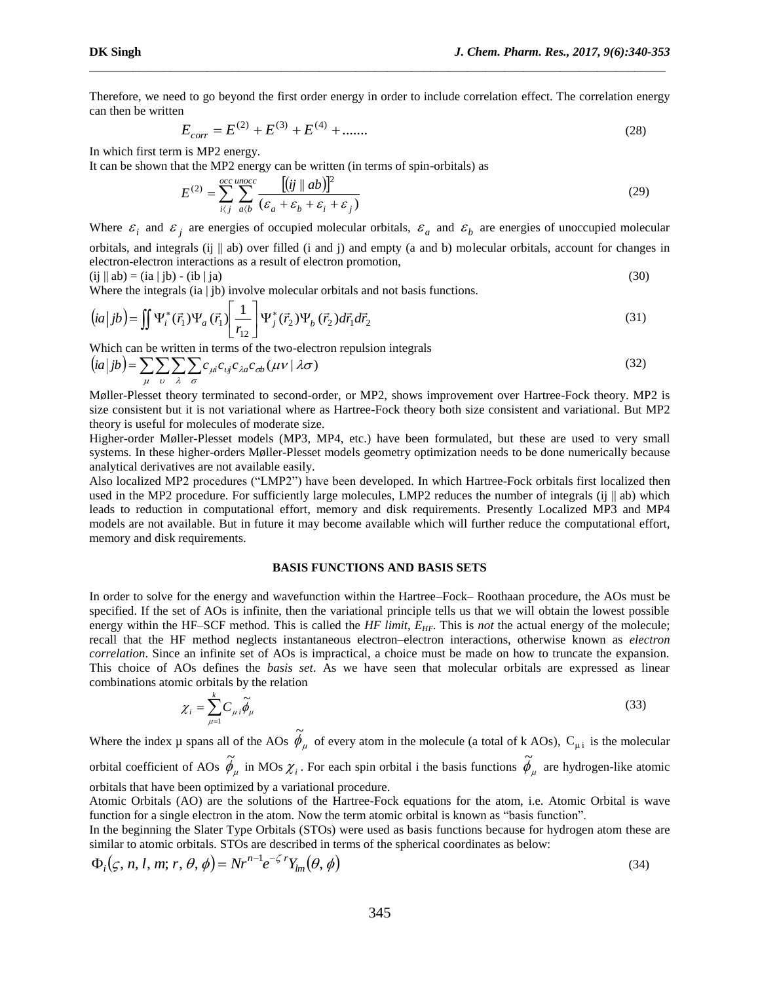Therefore, we need to go beyond the first order energy in order to include correlation effect. The correlation energy can then be written

\_\_\_\_\_\_\_\_\_\_\_\_\_\_\_\_\_\_\_\_\_\_\_\_\_\_\_\_\_\_\_\_\_\_\_\_\_\_\_\_\_\_\_\_\_\_\_\_\_\_\_\_\_\_\_\_\_\_\_\_\_\_\_\_\_\_\_\_\_\_\_\_\_\_\_\_\_\_\_\_\_\_\_\_\_\_\_\_\_\_\_\_\_

$$
E_{corr} = E^{(2)} + E^{(3)} + E^{(4)} + \dots \tag{28}
$$

In which first term is MP2 energy.

It can be shown that the MP2 energy can be written (in terms of spin-orbitals) as

$$
E^{(2)} = \sum_{i,j}^{occ \, unocc} \sum_{a/b}^{[ij] \, (ij \, || \, ab)]^2} (\varepsilon_a + \varepsilon_b + \varepsilon_i + \varepsilon_j)
$$
\n(29)

Where  $\varepsilon_i$  and  $\varepsilon_j$  are energies of occupied molecular orbitals,  $\varepsilon_a$  and  $\varepsilon_b$  are energies of unoccupied molecular orbitals, and integrals (ij  $\parallel$  ab) over filled (i and j) and empty (a and b) molecular orbitals, account for changes in electron-electron interactions as a result of electron promotion,

$$
(ij \parallel ab) = (ia \mid jb) - (ib \mid ja)
$$
 (30)

Where the integrals (ia | jb) involve molecular orbitals and not basis functions.

$$
(ia|jb) = \iint \Psi_i^*(\vec{r}_1)\Psi_a(\vec{r}_1) \left[\frac{1}{r_{12}}\right] \Psi_j^*(\vec{r}_2)\Psi_b(\vec{r}_2) d\vec{r}_1 d\vec{r}_2
$$
\n(31)

Which can be written in terms of the two-electron repulsion integrals

$$
(ia|jb) = \sum_{\mu} \sum_{\nu} \sum_{\lambda} \sum_{\sigma} c_{\mu i} c_{\nu j} c_{\lambda a} c_{\sigma b} (\mu \nu \mid \lambda \sigma)
$$
 (32)

Møller-Plesset theory terminated to second-order, or MP2, shows improvement over Hartree-Fock theory. MP2 is size consistent but it is not variational where as Hartree-Fock theory both size consistent and variational. But MP2 theory is useful for molecules of moderate size.

Higher-order Møller-Plesset models (MP3, MP4, etc.) have been formulated, but these are used to very small systems. In these higher-orders Møller-Plesset models geometry optimization needs to be done numerically because analytical derivatives are not available easily.

Also localized MP2 procedures ("LMP2") have been developed. In which Hartree-Fock orbitals first localized then used in the MP2 procedure. For sufficiently large molecules, LMP2 reduces the number of integrals (ij || ab) which leads to reduction in computational effort, memory and disk requirements. Presently Localized MP3 and MP4 models are not available. But in future it may become available which will further reduce the computational effort, memory and disk requirements.

#### **BASIS FUNCTIONS AND BASIS SETS**

In order to solve for the energy and wavefunction within the Hartree–Fock– Roothaan procedure, the AOs must be specified. If the set of AOs is infinite, then the variational principle tells us that we will obtain the lowest possible energy within the HF–SCF method. This is called the *HF limit*, *E<sub>HF</sub>*. This is *not* the actual energy of the molecule; recall that the HF method neglects instantaneous electron–electron interactions, otherwise known as *electron correlation*. Since an infinite set of AOs is impractical, a choice must be made on how to truncate the expansion. This choice of AOs defines the *basis set*. As we have seen that molecular orbitals are expressed as linear combinations atomic orbitals by the relation

$$
\chi_i = \sum_{\mu=1}^k C_{\mu i} \widetilde{\phi}_{\mu} \tag{33}
$$

Where the index  $\mu$  spans all of the AOs  $\phi_{\mu}$  of every atom in the molecule (a total of k AOs), C<sub> $\mu i$ </sub> is the molecular orbital coefficient of AOs  $\phi_\mu$  in MOs  $\chi_i$ . For each spin orbital i the basis functions  $\phi_\mu$  are hydrogen-like atomic orbitals that have been optimized by a variational procedure.

Atomic Orbitals (AO) are the solutions of the Hartree-Fock equations for the atom, i.e. Atomic Orbital is wave function for a single electron in the atom. Now the term atomic orbital is known as "basis function".

In the beginning the Slater Type Orbitals (STOs) were used as basis functions because for hydrogen atom these are similar to atomic orbitals. STOs are described in terms of the spherical coordinates as below:

$$
\Phi_i(\varsigma, n, l, m; r, \theta, \phi) = Nr^{n-1}e^{-\zeta}Y_{lm}(\theta, \phi)
$$
\n(34)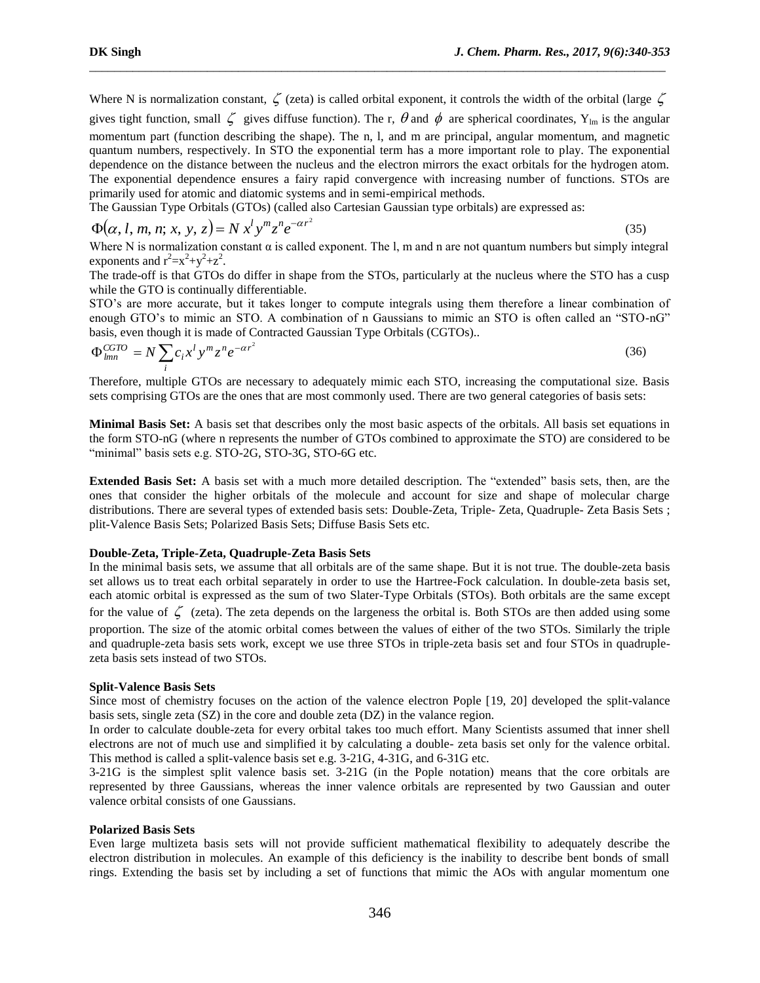(35)

Where N is normalization constant,  $\zeta$  (zeta) is called orbital exponent, it controls the width of the orbital (large  $\zeta$ gives tight function, small  $\zeta$  gives diffuse function). The r,  $\theta$  and  $\phi$  are spherical coordinates, Y<sub>lm</sub> is the angular momentum part (function describing the shape). The n, l, and m are principal, angular momentum, and magnetic quantum numbers, respectively. In STO the exponential term has a more important role to play. The exponential dependence on the distance between the nucleus and the electron mirrors the exact orbitals for the hydrogen atom. The exponential dependence ensures a fairy rapid convergence with increasing number of functions. STOs are primarily used for atomic and diatomic systems and in semi-empirical methods.

\_\_\_\_\_\_\_\_\_\_\_\_\_\_\_\_\_\_\_\_\_\_\_\_\_\_\_\_\_\_\_\_\_\_\_\_\_\_\_\_\_\_\_\_\_\_\_\_\_\_\_\_\_\_\_\_\_\_\_\_\_\_\_\_\_\_\_\_\_\_\_\_\_\_\_\_\_\_\_\_\_\_\_\_\_\_\_\_\_\_\_\_\_

The Gaussian Type Orbitals (GTOs) (called also Cartesian Gaussian type orbitals) are expressed as:

$$
\Phi(\alpha, l, m, n; x, y, z) = N x^l y^m z^n e^{-\alpha r^2}
$$

Where N is normalization constant  $\alpha$  is called exponent. The l, m and n are not quantum numbers but simply integral exponents and  $r^2 = x^2 + y^2 + z^2$ .

The trade-off is that GTOs do differ in shape from the STOs, particularly at the nucleus where the STO has a cusp while the GTO is continually differentiable.

STO's are more accurate, but it takes longer to compute integrals using them therefore a linear combination of enough GTO's to mimic an STO. A combination of n Gaussians to mimic an STO is often called an "STO-nG" basis, even though it is made of Contracted Gaussian Type Orbitals (CGTOs)..

$$
\Phi_{lmn}^{CGTO} = N \sum_{i} c_i x^l y^m z^n e^{-\alpha r^2}
$$
\n(36)

Therefore, multiple GTOs are necessary to adequately mimic each STO, increasing the computational size. Basis sets comprising GTOs are the ones that are most commonly used. There are two general categories of basis sets:

**Minimal Basis Set:** A basis set that describes only the most basic aspects of the orbitals. All basis set equations in the form STO-nG (where n represents the number of GTOs combined to approximate the STO) are considered to be "minimal" basis sets e.g. STO-2G, STO-3G, STO-6G etc.

**Extended Basis Set:** A basis set with a much more detailed description. The "extended" basis sets, then, are the ones that consider the higher orbitals of the molecule and account for size and shape of molecular charge distributions. There are several types of extended basis sets: Double-Zeta, Triple- Zeta, Quadruple- Zeta Basis Sets ; plit-Valence Basis Sets; Polarized Basis Sets; Diffuse Basis Sets etc.

## **Double-Zeta, Triple-Zeta, Quadruple-Zeta Basis Sets**

In the minimal basis sets, we assume that all orbitals are of the same shape. But it is not true. The double-zeta basis set allows us to treat each orbital separately in order to use the [Hartree-Fock calculation.](https://www.shodor.org/chemviz/glossary.html#hf) In double-zeta basis set, each atomic orbital is expressed as the sum of two Slater-Type Orbitals (STOs). Both orbitals are the same except for the value of  $\zeta$  (zeta). The zeta depends on the largeness the orbital is. Both STOs are then added using some proportion. The size of the atomic orbital comes between the values of either of the two STOs. Similarly the triple and quadruple-zeta basis sets work, except we use three STOs in triple-zeta basis set and four STOs in quadruplezeta basis sets instead of two STOs.

#### **Split-Valence Basis Sets**

Since most of chemistry focuses on the action of the valence electron Pople [19, 20] developed the split-valance basis sets, single zeta (SZ) in the core and double zeta (DZ) in the valance region.

In order to calculate double-zeta for every orbital takes too much effort. Many Scientists assumed that inner shell electrons are not of much use and simplified it by calculating a double- zeta basis set only for the valence orbital. This method is called a split-valence basis set e.g. 3-21G, 4-31G, and 6-31G etc.

3-21G is the simplest split valence basis set. 3-21G (in the Pople notation) means that the core orbitals are represented by three Gaussians, whereas the inner valence orbitals are represented by two Gaussian and outer valence orbital consists of one Gaussians.

## **Polarized Basis Sets**

Even large multizeta basis sets will not provide sufficient mathematical flexibility to adequately describe the electron distribution in molecules. An example of this deficiency is the inability to describe bent bonds of small rings. Extending the basis set by including a set of functions that mimic the AOs with angular momentum one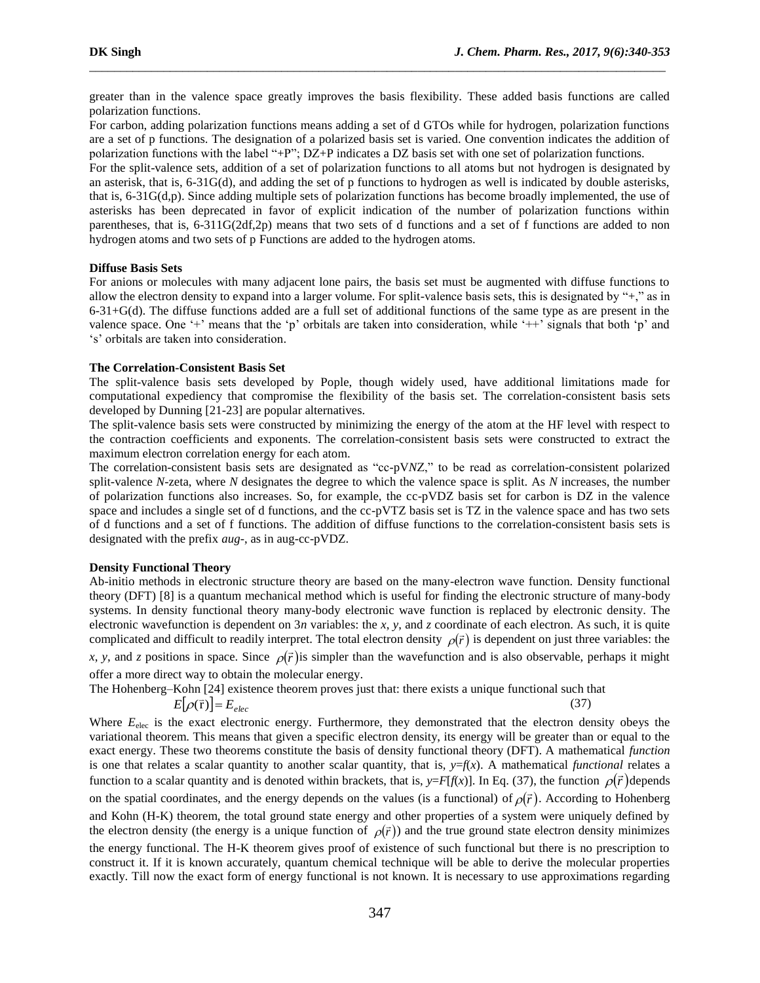(37)

greater than in the valence space greatly improves the basis flexibility. These added basis functions are called polarization functions.

\_\_\_\_\_\_\_\_\_\_\_\_\_\_\_\_\_\_\_\_\_\_\_\_\_\_\_\_\_\_\_\_\_\_\_\_\_\_\_\_\_\_\_\_\_\_\_\_\_\_\_\_\_\_\_\_\_\_\_\_\_\_\_\_\_\_\_\_\_\_\_\_\_\_\_\_\_\_\_\_\_\_\_\_\_\_\_\_\_\_\_\_\_

For carbon, adding polarization functions means adding a set of d GTOs while for hydrogen, polarization functions are a set of p functions. The designation of a polarized basis set is varied. One convention indicates the addition of polarization functions with the label "+P"; DZ+P indicates a DZ basis set with one set of polarization functions.

For the split-valence sets, addition of a set of polarization functions to all atoms but not hydrogen is designated by an asterisk, that is, 6-31G(d), and adding the set of p functions to hydrogen as well is indicated by double asterisks, that is, 6-31G(d,p). Since adding multiple sets of polarization functions has become broadly implemented, the use of asterisks has been deprecated in favor of explicit indication of the number of polarization functions within parentheses, that is, 6-311G(2df,2p) means that two sets of d functions and a set of f functions are added to non hydrogen atoms and two sets of p Functions are added to the hydrogen atoms.

#### **Diffuse Basis Sets**

For anions or molecules with many adjacent lone pairs, the basis set must be augmented with diffuse functions to allow the electron density to expand into a larger volume. For split-valence basis sets, this is designated by "+," as in  $6-31+G(d)$ . The diffuse functions added are a full set of additional functions of the same type as are present in the valence space. One '+' means that the 'p' orbitals are taken into consideration, while '++' signals that both 'p' and 's' orbitals are taken into consideration.

#### **The Correlation-Consistent Basis Set**

The split-valence basis sets developed by Pople, though widely used, have additional limitations made for computational expediency that compromise the flexibility of the basis set. The correlation-consistent basis sets developed by Dunning [21-23] are popular alternatives.

The split-valence basis sets were constructed by minimizing the energy of the atom at the HF level with respect to the contraction coefficients and exponents. The correlation-consistent basis sets were constructed to extract the maximum electron correlation energy for each atom.

The correlation-consistent basis sets are designated as "cc-pV*N*Z," to be read as correlation-consistent polarized split-valence *N*-zeta, where *N* designates the degree to which the valence space is split. As *N* increases, the number of polarization functions also increases. So, for example, the cc-pVDZ basis set for carbon is DZ in the valence space and includes a single set of d functions, and the cc-pVTZ basis set is TZ in the valence space and has two sets of d functions and a set of f functions. The addition of diffuse functions to the correlation-consistent basis sets is designated with the prefix *aug*-, as in aug-cc-pVDZ.

## **Density Functional Theory**

Ab-initio methods in electronic structure theory are based on the many-electron wave function. Density functional theory (DFT) [8] is a quantum mechanical method which is useful for finding the electronic structure of many-body systems. In density functional theory many-body electronic wave function is replaced by electronic density. The electronic wavefunction is dependent on 3*n* variables: the *x*, *y*, and *z* coordinate of each electron. As such, it is quite complicated and difficult to readily interpret. The total electron density  $\rho(\vec{r})$  is dependent on just three variables: the x, y, and z positions in space. Since  $\rho(\vec{r})$  is simpler than the wavefunction and is also observable, perhaps it might offer a more direct way to obtain the molecular energy.

The Hohenberg–Kohn [24] existence theorem proves just that: there exists a unique functional such that

$$
E[\rho(\vec{r})] = E_{elec}
$$

Where  $E_{\text{elec}}$  is the exact electronic energy. Furthermore, they demonstrated that the electron density obeys the variational theorem. This means that given a specific electron density, its energy will be greater than or equal to the exact energy. These two theorems constitute the basis of density functional theory (DFT). A mathematical *function*  is one that relates a scalar quantity to another scalar quantity, that is,  $y=f(x)$ . A mathematical *functional* relates a function to a scalar quantity and is denoted within brackets, that is,  $y=F[f(x)]$ . In Eq. (37), the function  $\rho(\vec{r})$  depends on the spatial coordinates, and the energy depends on the values (is a functional) of  $\rho(\vec{r})$ . According to Hohenberg and Kohn (H-K) theorem, the total ground state energy and other properties of a system were uniquely defined by the electron density (the energy is a unique function of  $\rho(\vec{r})$ ) and the true ground state electron density minimizes the energy functional. The H-K theorem gives proof of existence of such functional but there is no prescription to construct it. If it is known accurately, quantum chemical technique will be able to derive the molecular properties exactly. Till now the exact form of energy functional is not known. It is necessary to use approximations regarding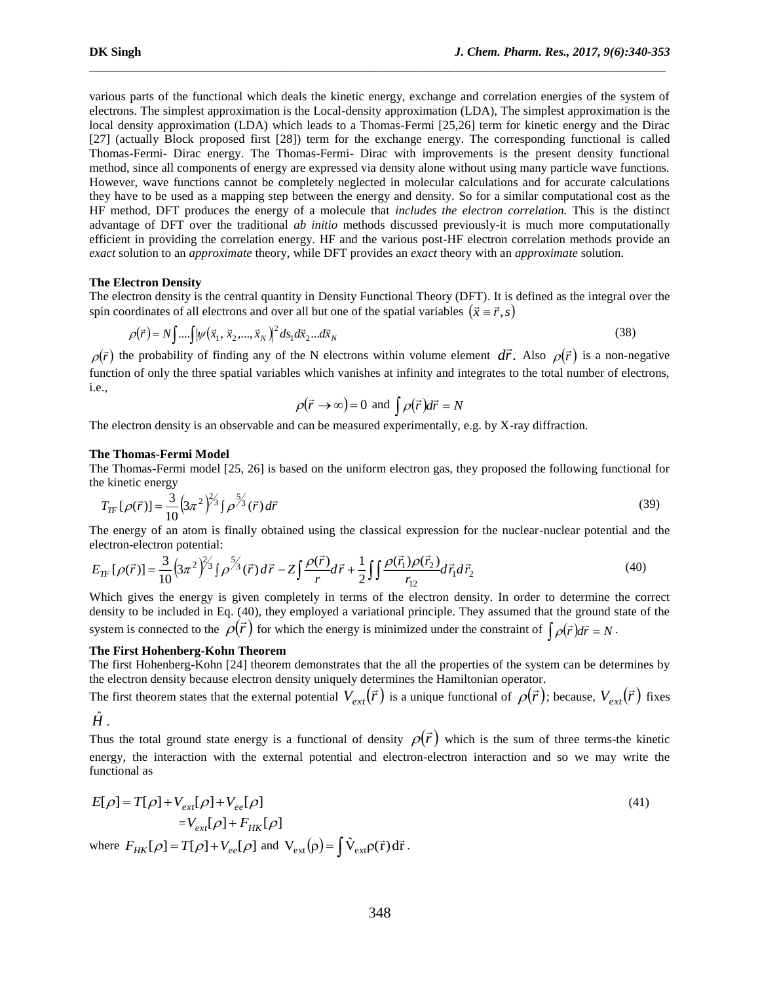various parts of the functional which deals the kinetic energy, exchange and correlation energies of the system of electrons. The simplest approximation is the Local-density approximation (LDA), The simplest approximation is the local density approximation (LDA) which leads to a Thomas-Fermi [25,26] term for kinetic energy and the Dirac [27] (actually Block proposed first [28]) term for the exchange energy. The corresponding functional is called Thomas-Fermi- Dirac energy. The Thomas-Fermi- Dirac with improvements is the present density functional method, since all components of energy are expressed via density alone without using many particle wave functions. However, wave functions cannot be completely neglected in molecular calculations and for accurate calculations they have to be used as a mapping step between the energy and density. So for a similar computational cost as the HF method, DFT produces the energy of a molecule that *includes the electron correlation.* This is the distinct advantage of DFT over the traditional *ab initio* methods discussed previously-it is much more computationally efficient in providing the correlation energy. HF and the various post-HF electron correlation methods provide an *exact* solution to an *approximate* theory, while DFT provides an *exact* theory with an *approximate* solution.

\_\_\_\_\_\_\_\_\_\_\_\_\_\_\_\_\_\_\_\_\_\_\_\_\_\_\_\_\_\_\_\_\_\_\_\_\_\_\_\_\_\_\_\_\_\_\_\_\_\_\_\_\_\_\_\_\_\_\_\_\_\_\_\_\_\_\_\_\_\_\_\_\_\_\_\_\_\_\_\_\_\_\_\_\_\_\_\_\_\_\_\_\_

### **The Electron Density**

The electron density is the central quantity in Density Functional Theory (DFT). It is defined as the integral over the spin coordinates of all electrons and over all but one of the spatial variables  $(\vec{x} \equiv \vec{r}, s)$ 

$$
\rho(\vec{r}) = N \int ... \int |\psi(\vec{x}_1, \vec{x}_2, ..., \vec{x}_N)|^2 \, ds_1 \, dx_2 ... \, dx_N \tag{38}
$$

 $\rho(\vec{r})$  the probability of finding any of the N electrons within volume element  $d\vec{r}$ . Also  $\rho(\vec{r})$  is a non-negative function of only the three spatial variables which vanishes at infinity and integrates to the total number of electrons, i.e.,

$$
\rho(\vec{r} \to \infty) = 0
$$
 and  $\int \rho(\vec{r}) d\vec{r} = N$ 

The electron density is an observable and can be measured experimentally, e.g. by X-ray diffraction.

#### **The Thomas-Fermi Model**

The Thomas-Fermi model [25, 26] is based on the uniform electron gas, they proposed the following functional for the kinetic energy

$$
T_{TF}[\rho(\vec{r})] = \frac{3}{10} \left(3\pi^2\right)^{2/3} \int \rho^{5/3}(\vec{r}) d\vec{r}
$$
\n(39)

The energy of an atom is finally obtained using the classical expression for the nuclear-nuclear potential and the electron-electron potential:

$$
E_{TF}[\rho(\vec{r})] = \frac{3}{10} \left( 3\pi^2 \right)^{2/3} \int \rho^{\frac{5}{3}}(\vec{r}) d\vec{r} - Z \int \frac{\rho(\vec{r})}{r} d\vec{r} + \frac{1}{2} \int \int \frac{\rho(\vec{r}_1)\rho(\vec{r}_2)}{r_{12}} d\vec{r}_1 d\vec{r}_2 \tag{40}
$$

Which gives the energy is given completely in terms of the electron density. In order to determine the correct density to be included in Eq. (40), they employed a variational principle. They assumed that the ground state of the system is connected to the  $\rho(\vec{r})$  for which the energy is minimized under the constraint of  $\int \rho(\vec{r}) d\vec{r} = N$ .

# **The First Hohenberg-Kohn Theorem**

The first Hohenberg-Kohn [24] theorem demonstrates that the all the properties of the system can be determines by the electron density because electron density uniquely determines the Hamiltonian operator.

The first theorem states that the external potential  $V_{ext}(\vec{r})$  is a unique functional of  $\rho(\vec{r})$ ; because,  $V_{ext}(\vec{r})$  fixes

 $\hat{H}$  .

Thus the total ground state energy is a functional of density  $\rho(\vec{r})$  which is the sum of three terms-the kinetic energy, the interaction with the external potential and electron-electron interaction and so we may write the functional as

$$
E[\rho] = T[\rho] + V_{ext}[\rho] + V_{ee}[\rho]
$$
  
\n
$$
= V_{ext}[\rho] + F_{HK}[\rho]
$$
  
\nwhere  $F_{HK}[\rho] = T[\rho] + V_{ee}[\rho]$  and  $V_{ext}(\rho) = \int \hat{V}_{ext} \rho(\vec{r}) d\vec{r}$ . (41)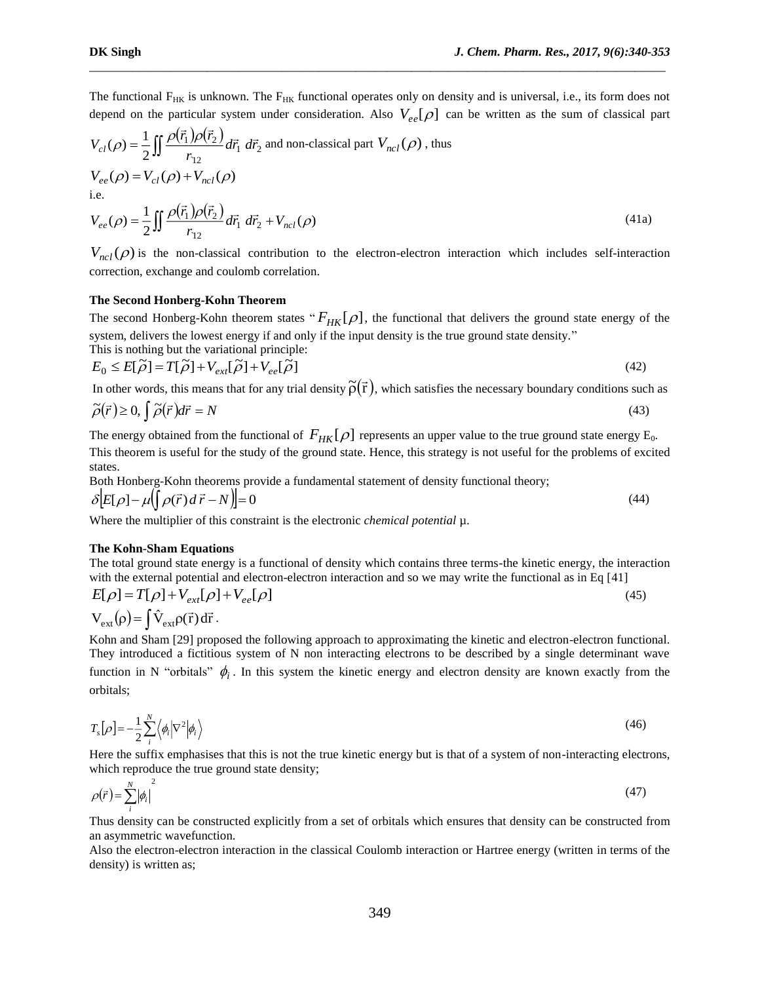The functional  $F_{HK}$  is unknown. The  $F_{HK}$  functional operates only on density and is universal, i.e., its form does not depend on the particular system under consideration. Also  $V_{ee}[\rho]$  can be written as the sum of classical part

\_\_\_\_\_\_\_\_\_\_\_\_\_\_\_\_\_\_\_\_\_\_\_\_\_\_\_\_\_\_\_\_\_\_\_\_\_\_\_\_\_\_\_\_\_\_\_\_\_\_\_\_\_\_\_\_\_\_\_\_\_\_\_\_\_\_\_\_\_\_\_\_\_\_\_\_\_\_\_\_\_\_\_\_\_\_\_\_\_\_\_\_\_

$$
V_{cl}(\rho) = \frac{1}{2} \iint \frac{\rho(\vec{r}_1)\rho(\vec{r}_2)}{r_{12}} d\vec{r}_1 d\vec{r}_2
$$
 and non-classical part  $V_{ncl}(\rho)$ , thus  
\n
$$
V_{ee}(\rho) = V_{cl}(\rho) + V_{ncl}(\rho)
$$
  
\ni.e.  
\n
$$
V_{ee}(\rho) = \frac{1}{2} \iint \frac{\rho(\vec{r}_1)\rho(\vec{r}_2)}{r_{12}} d\vec{r}_1 d\vec{r}_2 + V_{ncl}(\rho)
$$
\n(41a)

 $V_{ncl}(\rho)$  is the non-classical contribution to the electron-electron interaction which includes self-interaction correction, exchange and coulomb correlation.

#### **The Second Honberg-Kohn Theorem**

The second Honberg-Kohn theorem states " $F_{HK}[\rho]$ , the functional that delivers the ground state energy of the system, delivers the lowest energy if and only if the input density is the true ground state density." This is nothing but the variational principle:

$$
E_0 \le E[\tilde{\rho}] = T[\tilde{\rho}] + V_{ext}[\tilde{\rho}] + V_{ee}[\tilde{\rho}]
$$
\n(42)

In other words, this means that for any trial density  $\tilde{\rho}(\vec{r})$ , which satisfies the necessary boundary conditions such as

$$
\tilde{\rho}(\vec{r}) \ge 0, \int \tilde{\rho}(\vec{r}) d\vec{r} = N \tag{43}
$$

The energy obtained from the functional of  $F_{HK}[\rho]$  represents an upper value to the true ground state energy  $E_0$ . This theorem is useful for the study of the ground state. Hence, this strategy is not useful for the problems of excited states.

Both Honberg-Kohn theorems provide a fundamental statement of density functional theory;  $\delta$   $\left[E[\rho] - \mu \left(\int \rho(\vec{r}) d\vec{r} - N\right)\right] = 0$ (44)

Where the multiplier of this constraint is the electronic *chemical potential*  $\mu$ .

#### **The Kohn-Sham Equations**

The total ground state energy is a functional of density which contains three terms-the kinetic energy, the interaction with the external potential and electron-electron interaction and so we may write the functional as in Eq [41]

$$
E[\rho] = T[\rho] + V_{ext}[\rho] + V_{ee}[\rho]
$$
\n
$$
V_{ext}(\rho) = \int \hat{V}_{ext}\rho(\vec{r}) d\vec{r}.
$$
\n(45)

Kohn and Sham [29] proposed the following approach to approximating the kinetic and electron-electron functional. They introduced a fictitious system of N non interacting electrons to be described by a single determinant wave function in N "orbitals"  $\phi_i$ . In this system the kinetic energy and electron density are known exactly from the orbitals;

$$
T_s[\rho] = -\frac{1}{2} \sum_{i}^{N} \langle \phi_i | \nabla^2 | \phi_i \rangle \tag{46}
$$

Here the suffix emphasises that this is not the true kinetic energy but is that of a system of non-interacting electrons, which reproduce the true ground state density;

$$
\rho(\vec{r}) = \sum_{i}^{N} |\phi_i|^2 \tag{47}
$$

Thus density can be constructed explicitly from a set of orbitals which ensures that density can be constructed from an asymmetric wavefunction.

Also the electron-electron interaction in the classical Coulomb interaction or Hartree energy (written in terms of the density) is written as;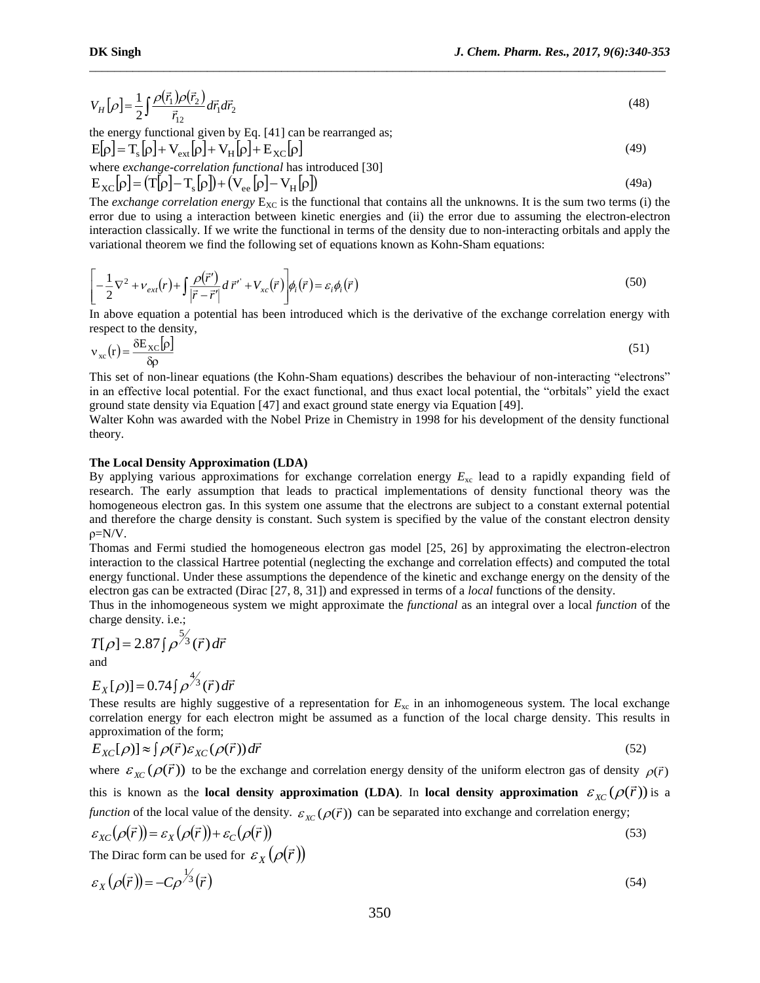(49)

$$
V_H[\rho] = \frac{1}{2} \int \frac{\rho(\vec{r}_1)\rho(\vec{r}_2)}{\vec{r}_{12}} d\vec{r}_1 d\vec{r}_2
$$
\n
$$
\tag{48}
$$

\_\_\_\_\_\_\_\_\_\_\_\_\_\_\_\_\_\_\_\_\_\_\_\_\_\_\_\_\_\_\_\_\_\_\_\_\_\_\_\_\_\_\_\_\_\_\_\_\_\_\_\_\_\_\_\_\_\_\_\_\_\_\_\_\_\_\_\_\_\_\_\_\_\_\_\_\_\_\_\_\_\_\_\_\_\_\_\_\_\_\_\_\_

the energy functional given by Eq. [41] can be rearranged as;

$$
E[\rho] = T_s[\rho] + V_{ext}[\rho] + V_H[\rho] + E_{XC}[\rho]
$$

where *exchange-correlation functional* has introduced [30]  
\n
$$
E_{XC}[\rho] = (T[\rho] - T_s[\rho]) + (V_{ee}[\rho] - V_H[\rho])
$$
\n(49a)

The *exchange correlation energy*  $E_{XC}$  is the functional that contains all the unknowns. It is the sum two terms (i) the error due to using a interaction between kinetic energies and (ii) the error due to assuming the electron-electron interaction classically. If we write the functional in terms of the density due to non-interacting orbitals and apply the variational theorem we find the following set of equations known as Kohn-Sham equations:

$$
\left[ -\frac{1}{2} \nabla^2 + \nu_{ext}(r) + \int \frac{\rho(\vec{r}')}{|\vec{r} - \vec{r}'|} d\vec{r}' + V_{xc}(\vec{r}) \right] \phi_i(\vec{r}) = \varepsilon_i \phi_i(\vec{r})
$$
\n(50)

In above equation a potential has been introduced which is the derivative of the exchange correlation energy with respect to the density,

$$
v_{xc}(r) = \frac{\delta E_{XC}[\rho]}{\delta \rho} \tag{51}
$$

This set of non-linear equations (the Kohn-Sham equations) describes the behaviour of non-interacting "electrons" in an effective local potential. For the exact functional, and thus exact local potential, the "orbitals" yield the exact ground state density via Equation [47] and exact ground state energy via Equation [49].

Walter Kohn was awarded with the Nobel Prize in Chemistry in 1998 for his development of the density functional theory.

#### **The Local Density Approximation (LDA)**

 $[\rho] = \frac{1}{2} \int \frac{P(x_1)P(x_2)}{r_1} d\vec{r}_1 d\vec{r}_2$ <br>energy functional given by Eq. [41] can be rearranged as<br>energy functional given by Eq. [41] can be rearranged as<br> $\epsilon$  exchange-correlation functional has introduced [30]<br> $[\$ By applying various approximations for exchange correlation energy *E*xc lead to a rapidly expanding field of research. The early assumption that leads to practical implementations of density functional theory was the homogeneous electron gas. In this system one assume that the electrons are subject to a constant external potential and therefore the charge density is constant. Such system is specified by the value of the constant electron density ρ=N/V.

Thomas and Fermi studied the homogeneous electron gas model [25, 26] by approximating the electron-electron interaction to the classical Hartree potential (neglecting the exchange and correlation effects) and computed the total energy functional. Under these assumptions the dependence of the kinetic and exchange energy on the density of the electron gas can be extracted (Dirac [27, 8, 31]) and expressed in terms of a *local* functions of the density.

Thus in the inhomogeneous system we might approximate the *functional* as an integral over a local *function* of the charge density. i.e.;

$$
T[\rho] = 2.87 \int \rho^{\frac{5}{3}}(\vec{r}) d\vec{r}
$$
  
and

$$
E_X[\rho)] = 0.74 \int \rho^{\frac{4}{3}}(\vec{r}) d\vec{r}
$$

These results are highly suggestive of a representation for  $E_{\rm xc}$  in an inhomogeneous system. The local exchange correlation energy for each electron might be assumed as a function of the local charge density. This results in approximation of the form;

$$
E_{XC}[\rho)] \approx \int \rho(\vec{r}) \varepsilon_{XC}(\rho(\vec{r})) d\vec{r}
$$
\n(52)

where  $\varepsilon_{\chi_C}(\rho(\vec{r}))$  to be the exchange and correlation energy density of the uniform electron gas of density  $\rho(\vec{r})$ this is known as the **local density approximation** (LDA). In local density approximation  $\varepsilon_{\chi_C}(\rho(\vec{r}))$  is a *function* of the local value of the density.  $\varepsilon_{\chi_C}(\rho(\vec{r}))$  can be separated into exchange and correlation energy;

$$
\varepsilon_{XC}(\rho(\vec{r})) = \varepsilon_X(\rho(\vec{r})) + \varepsilon_C(\rho(\vec{r}))
$$
\n(53)

The Dirac form can be used for  $\varepsilon_X(\rho(\vec{r}))$ 

$$
\varepsilon_X(\rho(\vec{r})) = -C\rho^{\frac{1}{3}}(\vec{r})\tag{54}
$$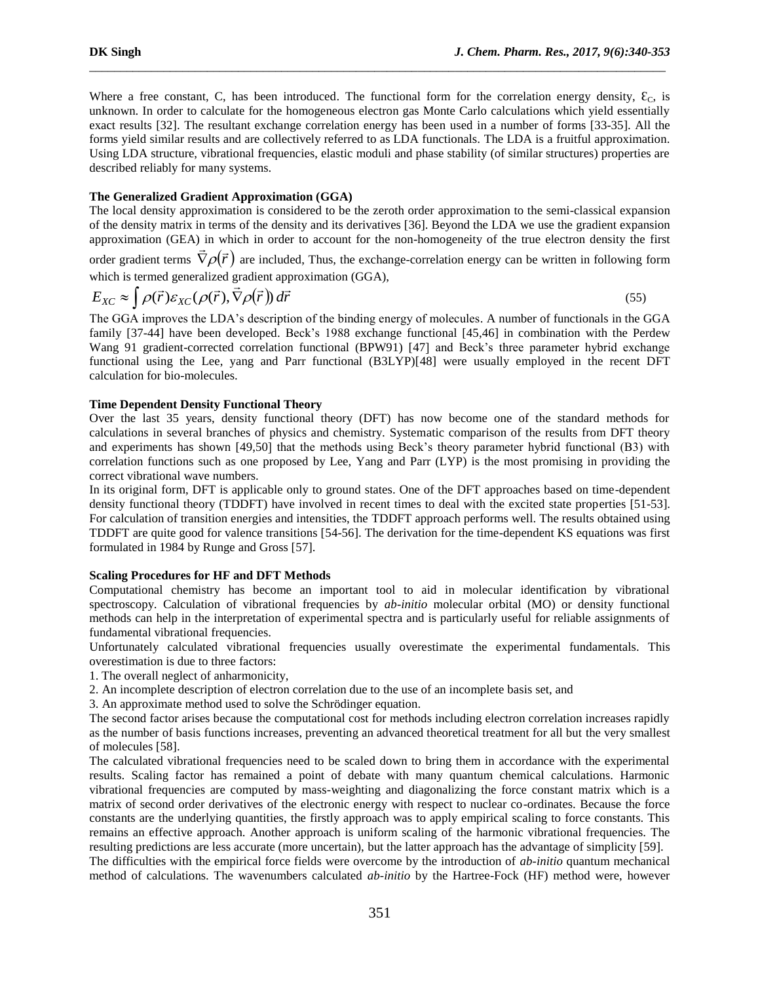Where a free constant, C, has been introduced. The functional form for the correlation energy density,  $\mathcal{E}_{\text{C}}$ , is unknown. In order to calculate for the homogeneous electron gas Monte Carlo calculations which yield essentially exact results [32]. The resultant exchange correlation energy has been used in a number of forms [33-35]. All the forms yield similar results and are collectively referred to as LDA functionals. The LDA is a fruitful approximation. Using LDA structure, vibrational frequencies, elastic moduli and phase stability (of similar structures) properties are described reliably for many systems.

\_\_\_\_\_\_\_\_\_\_\_\_\_\_\_\_\_\_\_\_\_\_\_\_\_\_\_\_\_\_\_\_\_\_\_\_\_\_\_\_\_\_\_\_\_\_\_\_\_\_\_\_\_\_\_\_\_\_\_\_\_\_\_\_\_\_\_\_\_\_\_\_\_\_\_\_\_\_\_\_\_\_\_\_\_\_\_\_\_\_\_\_\_

## **The Generalized Gradient Approximation (GGA)**

The local density approximation is considered to be the zeroth order approximation to the semi-classical expansion of the density matrix in terms of the density and its derivatives [36]. Beyond the LDA we use the gradient expansion approximation (GEA) in which in order to account for the non-homogeneity of the true electron density the first

order gradient terms  $\vec{\nabla}\rho(\vec{r})$  are included, Thus, the exchange-correlation energy can be written in following form which is termed generalized gradient approximation (GGA),

$$
E_{XC} \approx \int \rho(\vec{r}) \varepsilon_{XC}(\rho(\vec{r}), \vec{\nabla}\rho(\vec{r})) d\vec{r}
$$
\n(55)

The GGA improves the LDA's description of the binding energy of molecules. A number of functionals in the GGA family [37-44] have been developed. Beck's 1988 exchange functional [45,46] in combination with the Perdew Wang 91 gradient-corrected correlation functional (BPW91) [47] and Beck's three parameter hybrid exchange functional using the Lee, yang and Parr functional (B3LYP)[48] were usually employed in the recent DFT calculation for bio-molecules.

## **Time Dependent Density Functional Theory**

Over the last 35 years, density functional theory (DFT) has now become one of the standard methods for calculations in several branches of physics and chemistry. Systematic comparison of the results from DFT theory and experiments has shown [49,50] that the methods using Beck's theory parameter hybrid functional (B3) with correlation functions such as one proposed by Lee, Yang and Parr (LYP) is the most promising in providing the correct vibrational wave numbers.

In its original form, DFT is applicable only to ground states. One of the DFT approaches based on time-dependent density functional theory (TDDFT) have involved in recent times to deal with the excited state properties [51-53]. For calculation of transition energies and intensities, the TDDFT approach performs well. The results obtained using TDDFT are quite good for valence transitions [54-56]. The derivation for the time-dependent KS equations was first formulated in 1984 by Runge and Gross [57].

# **Scaling Procedures for HF and DFT Methods**

Computational chemistry has become an important tool to aid in molecular identification by vibrational spectroscopy. Calculation of vibrational frequencies by *ab-initio* molecular orbital (MO) or density functional methods can help in the interpretation of experimental spectra and is particularly useful for reliable assignments of fundamental vibrational frequencies.

Unfortunately calculated vibrational frequencies usually overestimate the experimental fundamentals. This overestimation is due to three factors:

1. The overall neglect of anharmonicity,

2. An incomplete description of electron correlation due to the use of an incomplete basis set, and

3. An approximate method used to solve the Schrödinger equation.

The second factor arises because the computational cost for methods including electron correlation increases rapidly as the number of basis functions increases, preventing an advanced theoretical treatment for all but the very smallest of molecules [58].

The calculated vibrational frequencies need to be scaled down to bring them in accordance with the experimental results. Scaling factor has remained a point of debate with many quantum chemical calculations. Harmonic vibrational frequencies are computed by mass-weighting and diagonalizing the force constant matrix which is a matrix of second order derivatives of the electronic energy with respect to nuclear co-ordinates. Because the force constants are the underlying quantities, the firstly approach was to apply empirical scaling to force constants. This remains an effective approach. Another approach is uniform scaling of the harmonic vibrational frequencies. The resulting predictions are less accurate (more uncertain), but the latter approach has the advantage of simplicity [59].

The difficulties with the empirical force fields were overcome by the introduction of *ab-initio* quantum mechanical method of calculations. The wavenumbers calculated *ab-initio* by the Hartree-Fock (HF) method were, however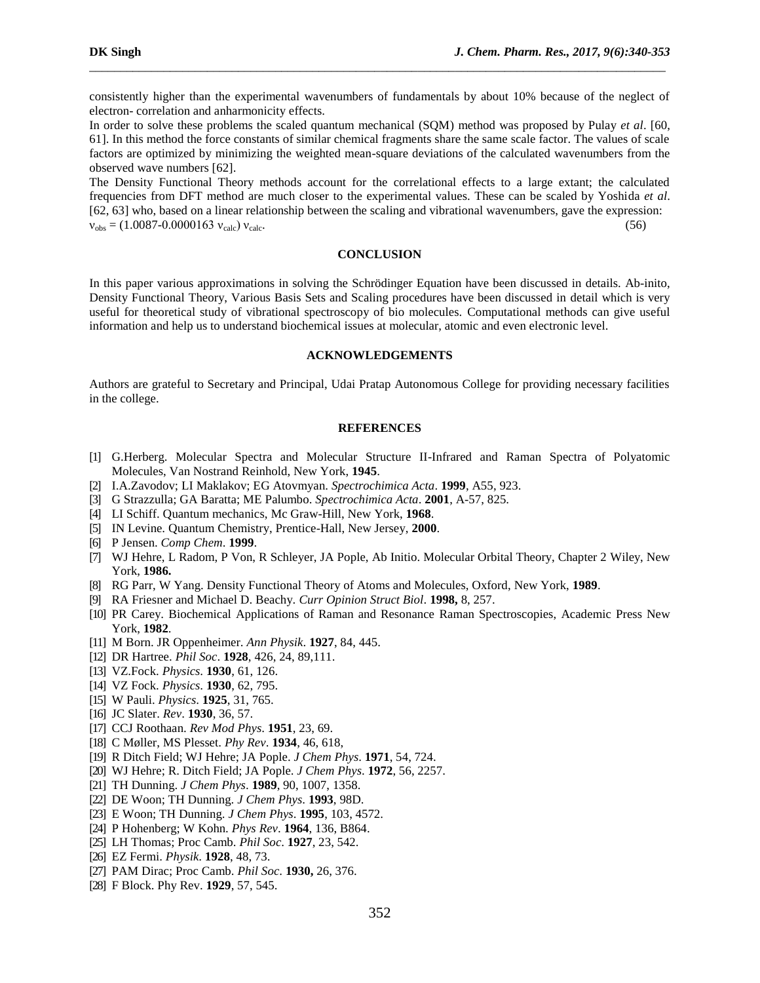consistently higher than the experimental wavenumbers of fundamentals by about 10% because of the neglect of electron- correlation and anharmonicity effects.

\_\_\_\_\_\_\_\_\_\_\_\_\_\_\_\_\_\_\_\_\_\_\_\_\_\_\_\_\_\_\_\_\_\_\_\_\_\_\_\_\_\_\_\_\_\_\_\_\_\_\_\_\_\_\_\_\_\_\_\_\_\_\_\_\_\_\_\_\_\_\_\_\_\_\_\_\_\_\_\_\_\_\_\_\_\_\_\_\_\_\_\_\_

In order to solve these problems the scaled quantum mechanical (SQM) method was proposed by Pulay *et al*. [60, 61]. In this method the force constants of similar chemical fragments share the same scale factor. The values of scale factors are optimized by minimizing the weighted mean-square deviations of the calculated wavenumbers from the observed wave numbers [62].

The Density Functional Theory methods account for the correlational effects to a large extant; the calculated frequencies from DFT method are much closer to the experimental values. These can be scaled by Yoshida *et al*. [62, 63] who, based on a linear relationship between the scaling and vibrational wavenumbers, gave the expression:  $v_{\text{obs}} = (1.0087 \cdot 0.0000163 \text{ y}_{\text{calc}}) v_{\text{calc}}$ . (56)

### **CONCLUSION**

In this paper various approximations in solving the Schrödinger Equation have been discussed in details. Ab-inito, Density Functional Theory, Various Basis Sets and Scaling procedures have been discussed in detail which is very useful for theoretical study of vibrational spectroscopy of bio molecules. Computational methods can give useful information and help us to understand biochemical issues at molecular, atomic and even electronic level.

## **ACKNOWLEDGEMENTS**

Authors are grateful to Secretary and Principal, Udai Pratap Autonomous College for providing necessary facilities in the college.

#### **REFERENCES**

- [1] G.Herberg. Molecular Spectra and Molecular Structure II-Infrared and Raman Spectra of Polyatomic Molecules, Van Nostrand Reinhold, New York, **1945**.
- [2] I.A.Zavodov; LI Maklakov; EG Atovmyan. *Spectrochimica Acta*. **1999**, A55, 923.
- [3] G Strazzulla; GA Baratta; ME Palumbo. *Spectrochimica Acta*. **2001**, A-57, 825.
- [4] LI Schiff. Quantum mechanics, Mc Graw-Hill, New York, **1968**.
- [5] IN Levine. Quantum Chemistry, Prentice-Hall, New Jersey, **2000**.
- [6] P Jensen. *Comp Chem*. **1999**.
- [7] WJ Hehre, L Radom, P Von, R Schleyer, JA Pople, Ab Initio. Molecular Orbital Theory, Chapter 2 Wiley, New York, **1986.**
- [8] RG Parr, W Yang. Density Functional Theory of Atoms and Molecules, Oxford, New York, **1989**.
- [9] RA Friesner and Michael D. Beachy. *Curr Opinion Struct Biol*. **1998,** 8, 257.
- [10] PR Carey. Biochemical Applications of Raman and Resonance Raman Spectroscopies, Academic Press New York, **1982**.
- [11] M Born. JR Oppenheimer. *Ann Physik*. **1927**, 84, 445.
- [12] DR Hartree. *Phil Soc*. **1928**, 426, 24, 89,111.
- [13] VZ.Fock. *Physics*. **1930**, 61, 126.
- [14] VZ Fock. *Physics*. **1930**, 62, 795.
- [15] W Pauli. *Physics*. **1925**, 31, 765.
- [16] JC Slater. *Rev*. **1930**, 36, 57.
- [17] CCJ Roothaan. *Rev Mod Phys*. **1951**, 23, 69.
- [18] C Møller, MS Plesset. *Phy Rev*. **1934**, 46, 618,
- [19] R Ditch Field; WJ Hehre; JA Pople. *J Chem Phys*. **1971**, 54, 724.
- [20] WJ Hehre; R. Ditch Field; JA Pople. *J Chem Phys*. **1972**, 56, 2257.
- [21] TH Dunning. *J Chem Phys*. **1989**, 90, 1007, 1358.
- [22] DE Woon; TH Dunning. *J Chem Phys*. **1993**, 98D.
- [23] E Woon; TH Dunning. *J Chem Phys*. **1995**, 103, 4572.
- [24] P Hohenberg; W Kohn. *Phys Rev*. **1964**, 136, B864.
- [25] LH Thomas; Proc Camb. *Phil Soc*. **1927**, 23, 542.
- [26] EZ Fermi. *Physik*. **1928**, 48, 73.
- [27] PAM Dirac; Proc Camb. *Phil Soc*. **1930,** 26, 376.
- [28] F Block. Phy Rev. **1929**, 57, 545.